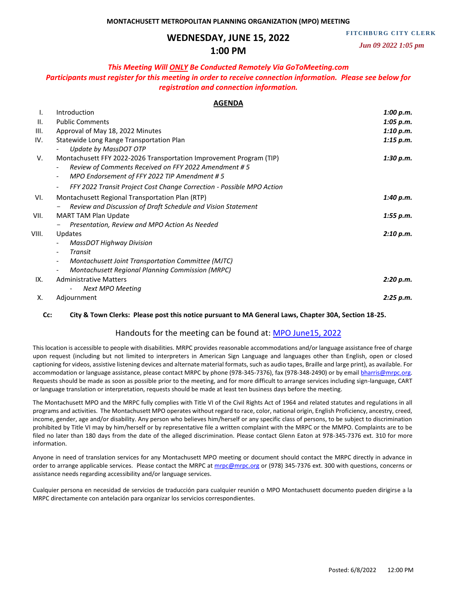# **WEDNESDAY, JUNE 15, 2022**

**FITCHBURG CITY CLERK** 

# **1:00 PM**

 *Jun 09 2022 1:05 pm*

### *This Meeting Will ONLY Be Conducted Remotely Via GoToMeeting.com*

## *Participants must register for this meeting in order to receive connection information. Please see below for registration and connection information.*

### **AGENDA**

| ı.    | Introduction                                                                        | 1:00 p.m. |
|-------|-------------------------------------------------------------------------------------|-----------|
| Ш.    | <b>Public Comments</b>                                                              | 1:05 p.m. |
| III.  | Approval of May 18, 2022 Minutes                                                    | 1:10 p.m. |
| IV.   | Statewide Long Range Transportation Plan                                            | 1:15 p.m. |
|       | Update by MassDOT OTP                                                               |           |
| V.    | Montachusett FFY 2022-2026 Transportation Improvement Program (TIP)                 | 1:30 p.m. |
|       | Review of Comments Received on FFY 2022 Amendment #5                                |           |
|       | MPO Endorsement of FFY 2022 TIP Amendment #5                                        |           |
|       | FFY 2022 Transit Project Cost Change Correction - Possible MPO Action<br>-          |           |
| VI.   | Montachusett Regional Transportation Plan (RTP)                                     | 1:40 p.m. |
|       | Review and Discussion of Draft Schedule and Vision Statement                        |           |
| VII.  | <b>MART TAM Plan Update</b>                                                         | 1:55 p.m. |
|       | Presentation, Review and MPO Action As Needed                                       |           |
| VIII. | <b>Updates</b>                                                                      | 2:10 p.m. |
|       | <b>MassDOT Highway Division</b>                                                     |           |
|       | Transit<br>$\overline{\phantom{0}}$                                                 |           |
|       | Montachusett Joint Transportation Committee (MJTC)                                  |           |
|       | <b>Montachusett Regional Planning Commission (MRPC)</b><br>$\overline{\phantom{a}}$ |           |
| IX.   | <b>Administrative Matters</b>                                                       | 2:20 p.m. |
|       | <b>Next MPO Meeting</b>                                                             |           |
| Х.    | Adjournment                                                                         | 2:25 p.m. |

#### **Cc: City & Town Clerks: Please post this notice pursuant to MA General Laws, Chapter 30A, Section 18-25.**

### Handouts for the meeting can be found at: [MPO June15, 2022](https://mrpcma-my.sharepoint.com/:f:/g/personal/bharris_mrpc_org/EkBns2LiEDlPrVl3IFpPD00Bx6xswX5-a9C2F-GppqzCXQ?e=4nJBK3)

This location is accessible to people with disabilities. MRPC provides reasonable accommodations and/or language assistance free of charge upon request (including but not limited to interpreters in American Sign Language and languages other than English, open or closed captioning for videos, assistive listening devices and alternate material formats, such as audio tapes, Braille and large print), as available. For accommodation or language assistance, please contact MRPC by phone (978-345-7376), fax (978-348-2490) or by email bharris@mrpc.org. Requests should be made as soon as possible prior to the meeting, and for more difficult to arrange services including sign-language, CART or language translation or interpretation, requests should be made at least ten business days before the meeting.

The Montachusett MPO and the MRPC fully complies with Title VI of the Civil Rights Act of 1964 and related statutes and regulations in all programs and activities. The Montachusett MPO operates without regard to race, color, national origin, English Proficiency, ancestry, creed, income, gender, age and/or disability. Any person who believes him/herself or any specific class of persons, to be subject to discrimination prohibited by Title VI may by him/herself or by representative file a written complaint with the MRPC or the MMPO. Complaints are to be filed no later than 180 days from the date of the alleged discrimination. Please contact Glenn Eaton at 978-345-7376 ext. 310 for more information.

Anyone in need of translation services for any Montachusett MPO meeting or document should contact the MRPC directly in advance in order to arrange applicable services. Please contact the MRPC a[t mrpc@mrpc.org](mailto:mrpc@mrpc.org) or (978) 345-7376 ext. 300 with questions, concerns or assistance needs regarding accessibility and/or language services.

Cualquier persona en necesidad de servicios de traducción para cualquier reunión o MPO Montachusett documento pueden dirigirse a la MRPC directamente con antelación para organizar los servicios correspondientes.